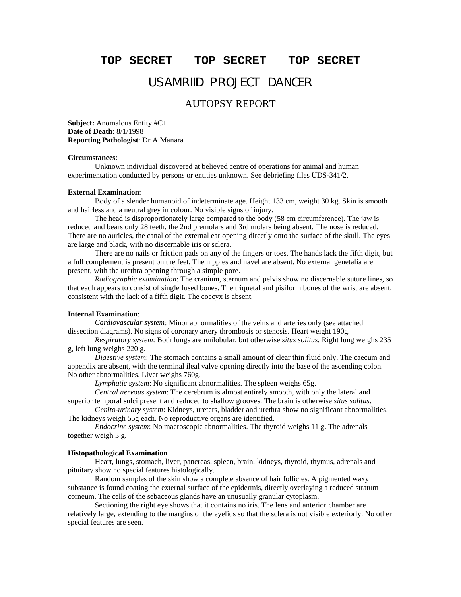### **TOP SECRET TOP SECRET TOP SECRET**

# USAMRIID PROJECT DANCER

## AUTOPSY REPORT

**Subject:** Anomalous Entity #C1 **Date of Death**: 8/1/1998 **Reporting Pathologist**: Dr A Manara

#### **Circumstances**:

Unknown individual discovered at believed centre of operations for animal and human experimentation conducted by persons or entities unknown. See debriefing files UDS-341/2.

#### **External Examination**:

Body of a slender humanoid of indeterminate age. Height 133 cm, weight 30 kg. Skin is smooth and hairless and a neutral grey in colour. No visible signs of injury.

The head is disproportionately large compared to the body (58 cm circumference). The jaw is reduced and bears only 28 teeth, the 2nd premolars and 3rd molars being absent. The nose is reduced. There are no auricles, the canal of the external ear opening directly onto the surface of the skull. The eyes are large and black, with no discernable iris or sclera.

There are no nails or friction pads on any of the fingers or toes. The hands lack the fifth digit, but a full complement is present on the feet. The nipples and navel are absent. No external genetalia are present, with the urethra opening through a simple pore.

*Radiographic examination*: The cranium, sternum and pelvis show no discernable suture lines, so that each appears to consist of single fused bones. The triquetal and pisiform bones of the wrist are absent, consistent with the lack of a fifth digit. The coccyx is absent.

#### **Internal Examination**:

*Cardiovascular system*: Minor abnormalities of the veins and arteries only (see attached dissection diagrams). No signs of coronary artery thrombosis or stenosis. Heart weight 190g.

*Respiratory system*: Both lungs are unilobular, but otherwise *situs solitus.* Right lung weighs 235 g, left lung weighs 220 g.

*Digestive system*: The stomach contains a small amount of clear thin fluid only. The caecum and appendix are absent, with the terminal ileal valve opening directly into the base of the ascending colon. No other abnormalities. Liver weighs 760g.

*Lymphatic system*: No significant abnormalities. The spleen weighs 65g.

*Central nervous system*: The cerebrum is almost entirely smooth, with only the lateral and superior temporal sulci present and reduced to shallow grooves. The brain is otherwise *situs solitus*.

*Genito-urinary system*: Kidneys, ureters, bladder and urethra show no significant abnormalities. The kidneys weigh 55g each. No reproductive organs are identified.

*Endocrine system*: No macroscopic abnormalities. The thyroid weighs 11 g. The adrenals together weigh 3 g.

#### **Histopathological Examination**

Heart, lungs, stomach, liver, pancreas, spleen, brain, kidneys, thyroid, thymus, adrenals and pituitary show no special features histologically.

Random samples of the skin show a complete absence of hair follicles. A pigmented waxy substance is found coating the external surface of the epidermis, directly overlaying a reduced stratum corneum. The cells of the sebaceous glands have an unusually granular cytoplasm.

Sectioning the right eye shows that it contains no iris. The lens and anterior chamber are relatively large, extending to the margins of the eyelids so that the sclera is not visible exteriorly. No other special features are seen.